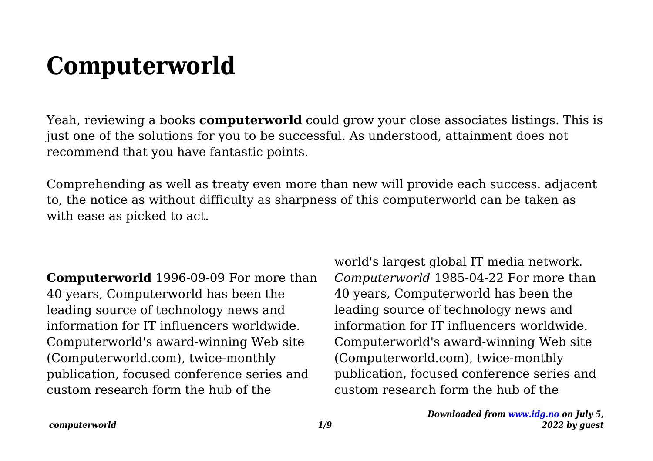## **Computerworld**

Yeah, reviewing a books **computerworld** could grow your close associates listings. This is just one of the solutions for you to be successful. As understood, attainment does not recommend that you have fantastic points.

Comprehending as well as treaty even more than new will provide each success. adjacent to, the notice as without difficulty as sharpness of this computerworld can be taken as with ease as picked to act.

**Computerworld** 1996-09-09 For more than 40 years, Computerworld has been the leading source of technology news and information for IT influencers worldwide. Computerworld's award-winning Web site (Computerworld.com), twice-monthly publication, focused conference series and custom research form the hub of the

world's largest global IT media network. *Computerworld* 1985-04-22 For more than 40 years, Computerworld has been the leading source of technology news and information for IT influencers worldwide. Computerworld's award-winning Web site (Computerworld.com), twice-monthly publication, focused conference series and custom research form the hub of the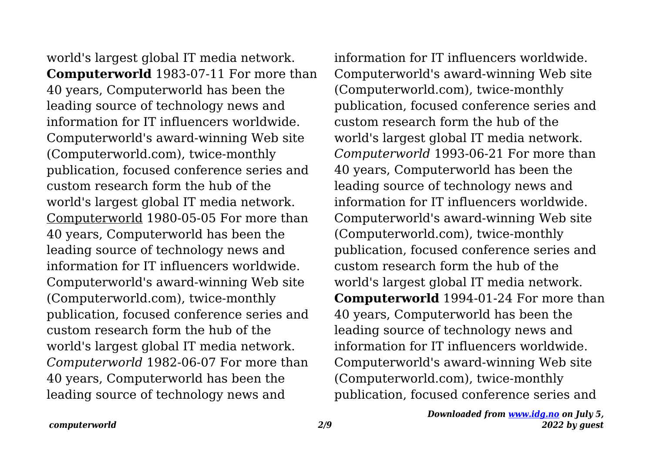world's largest global IT media network. **Computerworld** 1983-07-11 For more than 40 years, Computerworld has been the leading source of technology news and information for IT influencers worldwide. Computerworld's award-winning Web site (Computerworld.com), twice-monthly publication, focused conference series and custom research form the hub of the world's largest global IT media network. Computerworld 1980-05-05 For more than 40 years, Computerworld has been the leading source of technology news and information for IT influencers worldwide. Computerworld's award-winning Web site (Computerworld.com), twice-monthly publication, focused conference series and custom research form the hub of the world's largest global IT media network. *Computerworld* 1982-06-07 For more than 40 years, Computerworld has been the leading source of technology news and

information for IT influencers worldwide. Computerworld's award-winning Web site (Computerworld.com), twice-monthly publication, focused conference series and custom research form the hub of the world's largest global IT media network. *Computerworld* 1993-06-21 For more than 40 years, Computerworld has been the leading source of technology news and information for IT influencers worldwide. Computerworld's award-winning Web site (Computerworld.com), twice-monthly publication, focused conference series and custom research form the hub of the world's largest global IT media network. **Computerworld** 1994-01-24 For more than 40 years, Computerworld has been the leading source of technology news and information for IT influencers worldwide. Computerworld's award-winning Web site (Computerworld.com), twice-monthly publication, focused conference series and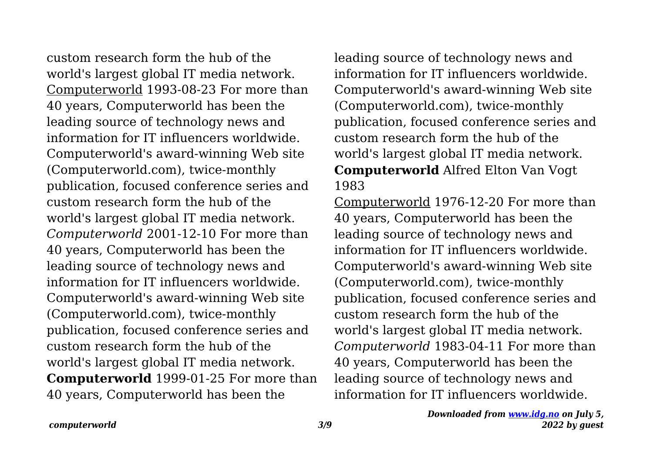custom research form the hub of the world's largest global IT media network. Computerworld 1993-08-23 For more than 40 years, Computerworld has been the leading source of technology news and information for IT influencers worldwide. Computerworld's award-winning Web site (Computerworld.com), twice-monthly publication, focused conference series and custom research form the hub of the world's largest global IT media network. *Computerworld* 2001-12-10 For more than 40 years, Computerworld has been the leading source of technology news and information for IT influencers worldwide. Computerworld's award-winning Web site (Computerworld.com), twice-monthly publication, focused conference series and custom research form the hub of the world's largest global IT media network. **Computerworld** 1999-01-25 For more than 40 years, Computerworld has been the

leading source of technology news and information for IT influencers worldwide. Computerworld's award-winning Web site (Computerworld.com), twice-monthly publication, focused conference series and custom research form the hub of the world's largest global IT media network. **Computerworld** Alfred Elton Van Vogt 1983

Computerworld 1976-12-20 For more than 40 years, Computerworld has been the leading source of technology news and information for IT influencers worldwide. Computerworld's award-winning Web site (Computerworld.com), twice-monthly publication, focused conference series and custom research form the hub of the world's largest global IT media network. *Computerworld* 1983-04-11 For more than 40 years, Computerworld has been the leading source of technology news and information for IT influencers worldwide.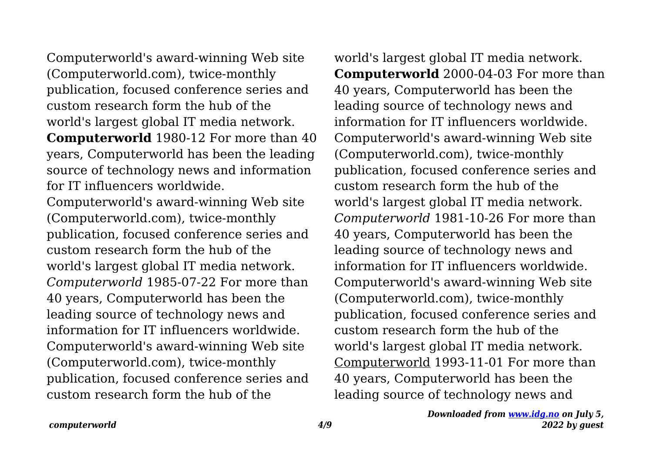Computerworld's award-winning Web site (Computerworld.com), twice-monthly publication, focused conference series and custom research form the hub of the world's largest global IT media network.

**Computerworld** 1980-12 For more than 40 years, Computerworld has been the leading source of technology news and information for IT influencers worldwide.

Computerworld's award-winning Web site (Computerworld.com), twice-monthly publication, focused conference series and custom research form the hub of the world's largest global IT media network. *Computerworld* 1985-07-22 For more than 40 years, Computerworld has been the leading source of technology news and information for IT influencers worldwide. Computerworld's award-winning Web site (Computerworld.com), twice-monthly publication, focused conference series and custom research form the hub of the

world's largest global IT media network. **Computerworld** 2000-04-03 For more than 40 years, Computerworld has been the leading source of technology news and information for IT influencers worldwide. Computerworld's award-winning Web site (Computerworld.com), twice-monthly publication, focused conference series and custom research form the hub of the world's largest global IT media network. *Computerworld* 1981-10-26 For more than 40 years, Computerworld has been the leading source of technology news and information for IT influencers worldwide. Computerworld's award-winning Web site (Computerworld.com), twice-monthly publication, focused conference series and custom research form the hub of the world's largest global IT media network. Computerworld 1993-11-01 For more than 40 years, Computerworld has been the leading source of technology news and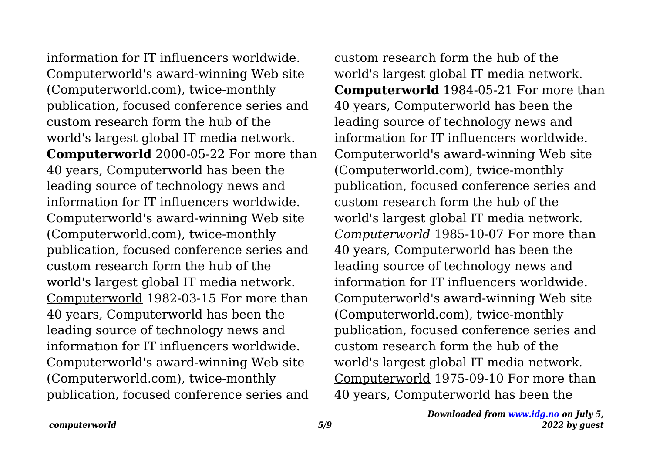information for IT influencers worldwide. Computerworld's award-winning Web site (Computerworld.com), twice-monthly publication, focused conference series and custom research form the hub of the world's largest global IT media network. **Computerworld** 2000-05-22 For more than 40 years, Computerworld has been the leading source of technology news and information for IT influencers worldwide. Computerworld's award-winning Web site (Computerworld.com), twice-monthly publication, focused conference series and custom research form the hub of the world's largest global IT media network. Computerworld 1982-03-15 For more than 40 years, Computerworld has been the leading source of technology news and information for IT influencers worldwide. Computerworld's award-winning Web site (Computerworld.com), twice-monthly publication, focused conference series and

custom research form the hub of the world's largest global IT media network. **Computerworld** 1984-05-21 For more than 40 years, Computerworld has been the leading source of technology news and information for IT influencers worldwide. Computerworld's award-winning Web site (Computerworld.com), twice-monthly publication, focused conference series and custom research form the hub of the world's largest global IT media network. *Computerworld* 1985-10-07 For more than 40 years, Computerworld has been the leading source of technology news and information for IT influencers worldwide. Computerworld's award-winning Web site (Computerworld.com), twice-monthly publication, focused conference series and custom research form the hub of the world's largest global IT media network. Computerworld 1975-09-10 For more than 40 years, Computerworld has been the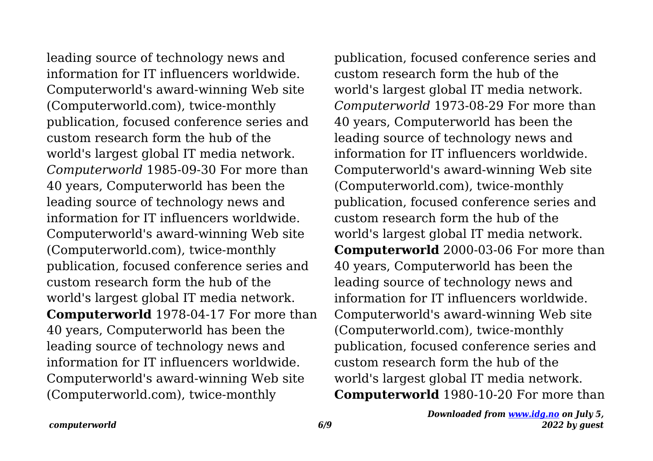leading source of technology news and information for IT influencers worldwide. Computerworld's award-winning Web site (Computerworld.com), twice-monthly publication, focused conference series and custom research form the hub of the world's largest global IT media network. *Computerworld* 1985-09-30 For more than 40 years, Computerworld has been the leading source of technology news and information for IT influencers worldwide. Computerworld's award-winning Web site (Computerworld.com), twice-monthly publication, focused conference series and custom research form the hub of the world's largest global IT media network. **Computerworld** 1978-04-17 For more than 40 years, Computerworld has been the leading source of technology news and information for IT influencers worldwide. Computerworld's award-winning Web site (Computerworld.com), twice-monthly

publication, focused conference series and custom research form the hub of the world's largest global IT media network. *Computerworld* 1973-08-29 For more than 40 years, Computerworld has been the leading source of technology news and information for IT influencers worldwide. Computerworld's award-winning Web site (Computerworld.com), twice-monthly publication, focused conference series and custom research form the hub of the world's largest global IT media network. **Computerworld** 2000-03-06 For more than 40 years, Computerworld has been the leading source of technology news and information for IT influencers worldwide. Computerworld's award-winning Web site (Computerworld.com), twice-monthly publication, focused conference series and custom research form the hub of the world's largest global IT media network. **Computerworld** 1980-10-20 For more than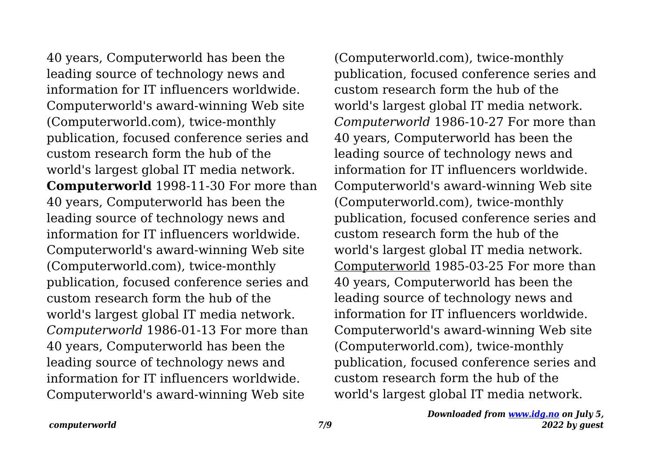40 years, Computerworld has been the leading source of technology news and information for IT influencers worldwide. Computerworld's award-winning Web site (Computerworld.com), twice-monthly publication, focused conference series and custom research form the hub of the world's largest global IT media network. **Computerworld** 1998-11-30 For more than 40 years, Computerworld has been the leading source of technology news and information for IT influencers worldwide. Computerworld's award-winning Web site (Computerworld.com), twice-monthly publication, focused conference series and custom research form the hub of the world's largest global IT media network. *Computerworld* 1986-01-13 For more than 40 years, Computerworld has been the leading source of technology news and information for IT influencers worldwide. Computerworld's award-winning Web site

(Computerworld.com), twice-monthly publication, focused conference series and custom research form the hub of the world's largest global IT media network. *Computerworld* 1986-10-27 For more than 40 years, Computerworld has been the leading source of technology news and information for IT influencers worldwide. Computerworld's award-winning Web site (Computerworld.com), twice-monthly publication, focused conference series and custom research form the hub of the world's largest global IT media network. Computerworld 1985-03-25 For more than 40 years, Computerworld has been the leading source of technology news and information for IT influencers worldwide. Computerworld's award-winning Web site (Computerworld.com), twice-monthly publication, focused conference series and custom research form the hub of the world's largest global IT media network.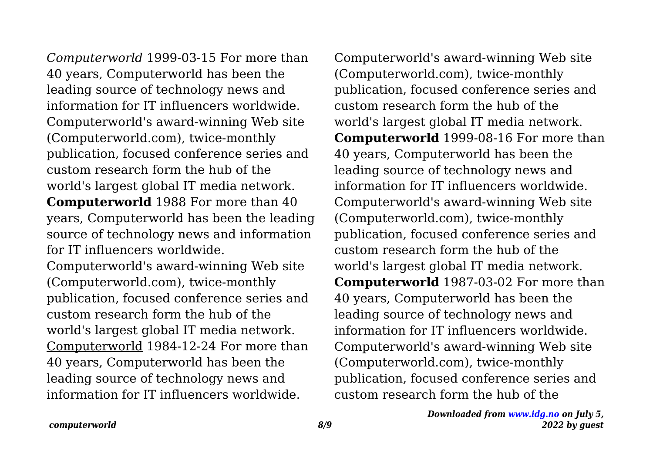*Computerworld* 1999-03-15 For more than 40 years, Computerworld has been the leading source of technology news and information for IT influencers worldwide. Computerworld's award-winning Web site (Computerworld.com), twice-monthly publication, focused conference series and custom research form the hub of the world's largest global IT media network. **Computerworld** 1988 For more than 40 years, Computerworld has been the leading source of technology news and information for IT influencers worldwide.

Computerworld's award-winning Web site (Computerworld.com), twice-monthly publication, focused conference series and custom research form the hub of the world's largest global IT media network. Computerworld 1984-12-24 For more than 40 years, Computerworld has been the leading source of technology news and information for IT influencers worldwide.

Computerworld's award-winning Web site (Computerworld.com), twice-monthly publication, focused conference series and custom research form the hub of the world's largest global IT media network. **Computerworld** 1999-08-16 For more than 40 years, Computerworld has been the leading source of technology news and information for IT influencers worldwide. Computerworld's award-winning Web site (Computerworld.com), twice-monthly publication, focused conference series and custom research form the hub of the world's largest global IT media network. **Computerworld** 1987-03-02 For more than 40 years, Computerworld has been the leading source of technology news and information for IT influencers worldwide. Computerworld's award-winning Web site (Computerworld.com), twice-monthly publication, focused conference series and custom research form the hub of the